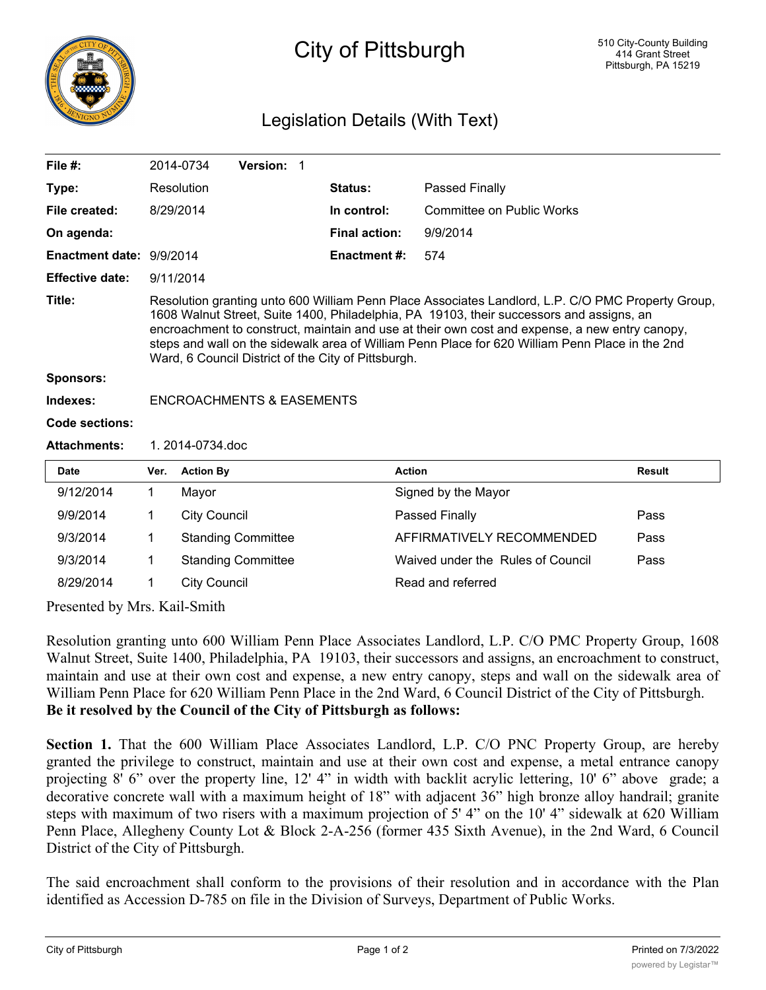

## City of Pittsburgh

## Legislation Details (With Text)

| File $#$ :               |                                                                                                                                                                                                                                                                                                                                                                                                                                                           | 2014-0734           | Version: 1                |  |                      |                                   |               |
|--------------------------|-----------------------------------------------------------------------------------------------------------------------------------------------------------------------------------------------------------------------------------------------------------------------------------------------------------------------------------------------------------------------------------------------------------------------------------------------------------|---------------------|---------------------------|--|----------------------|-----------------------------------|---------------|
| Type:                    |                                                                                                                                                                                                                                                                                                                                                                                                                                                           | Resolution          |                           |  | <b>Status:</b>       | Passed Finally                    |               |
| File created:            |                                                                                                                                                                                                                                                                                                                                                                                                                                                           | 8/29/2014           |                           |  | In control:          | <b>Committee on Public Works</b>  |               |
| On agenda:               |                                                                                                                                                                                                                                                                                                                                                                                                                                                           |                     |                           |  | <b>Final action:</b> | 9/9/2014                          |               |
| Enactment date: 9/9/2014 |                                                                                                                                                                                                                                                                                                                                                                                                                                                           |                     |                           |  | <b>Enactment#:</b>   | 574                               |               |
| <b>Effective date:</b>   | 9/11/2014                                                                                                                                                                                                                                                                                                                                                                                                                                                 |                     |                           |  |                      |                                   |               |
| Title:                   | Resolution granting unto 600 William Penn Place Associates Landlord, L.P. C/O PMC Property Group,<br>1608 Walnut Street, Suite 1400, Philadelphia, PA 19103, their successors and assigns, an<br>encroachment to construct, maintain and use at their own cost and expense, a new entry canopy,<br>steps and wall on the sidewalk area of William Penn Place for 620 William Penn Place in the 2nd<br>Ward, 6 Council District of the City of Pittsburgh. |                     |                           |  |                      |                                   |               |
| <b>Sponsors:</b>         |                                                                                                                                                                                                                                                                                                                                                                                                                                                           |                     |                           |  |                      |                                   |               |
| Indexes:                 | <b>ENCROACHMENTS &amp; EASEMENTS</b>                                                                                                                                                                                                                                                                                                                                                                                                                      |                     |                           |  |                      |                                   |               |
| <b>Code sections:</b>    |                                                                                                                                                                                                                                                                                                                                                                                                                                                           |                     |                           |  |                      |                                   |               |
| <b>Attachments:</b>      | 1. 2014-0734.doc                                                                                                                                                                                                                                                                                                                                                                                                                                          |                     |                           |  |                      |                                   |               |
| <b>Date</b>              | Ver.                                                                                                                                                                                                                                                                                                                                                                                                                                                      | <b>Action By</b>    |                           |  |                      | <b>Action</b>                     | <b>Result</b> |
| 9/12/2014                | 1                                                                                                                                                                                                                                                                                                                                                                                                                                                         | Mayor               |                           |  |                      | Signed by the Mayor               |               |
| 9/9/2014                 | 1                                                                                                                                                                                                                                                                                                                                                                                                                                                         | <b>City Council</b> |                           |  |                      | <b>Passed Finally</b>             | Pass          |
| 9/3/2014                 | 1                                                                                                                                                                                                                                                                                                                                                                                                                                                         |                     | <b>Standing Committee</b> |  |                      | AFFIRMATIVELY RECOMMENDED         | Pass          |
| 9/3/2014                 | 1                                                                                                                                                                                                                                                                                                                                                                                                                                                         |                     | <b>Standing Committee</b> |  |                      | Waived under the Rules of Council | Pass          |
| 8/29/2014                | 1<br>$\mathbf{v}$ $\mathbf{v}$ $\mathbf{v}$ $\mathbf{v}$ $\mathbf{v}$ $\mathbf{v}$ $\mathbf{v}$ $\mathbf{v}$ $\mathbf{v}$ $\mathbf{v}$ $\mathbf{v}$ $\mathbf{v}$ $\mathbf{v}$ $\mathbf{v}$ $\mathbf{v}$ $\mathbf{v}$ $\mathbf{v}$ $\mathbf{v}$ $\mathbf{v}$ $\mathbf{v}$ $\mathbf{v}$ $\mathbf{v}$ $\mathbf{v}$ $\mathbf{v}$ $\mathbf{$                                                                                                                   | <b>City Council</b> |                           |  |                      | Read and referred                 |               |

Presented by Mrs. Kail-Smith

Resolution granting unto 600 William Penn Place Associates Landlord, L.P. C/O PMC Property Group, 1608 Walnut Street, Suite 1400, Philadelphia, PA 19103, their successors and assigns, an encroachment to construct, maintain and use at their own cost and expense, a new entry canopy, steps and wall on the sidewalk area of William Penn Place for 620 William Penn Place in the 2nd Ward, 6 Council District of the City of Pittsburgh. **Be it resolved by the Council of the City of Pittsburgh as follows:**

**Section 1.** That the 600 William Place Associates Landlord, L.P. C/O PNC Property Group, are hereby granted the privilege to construct, maintain and use at their own cost and expense, a metal entrance canopy projecting 8' 6" over the property line, 12' 4" in width with backlit acrylic lettering, 10' 6" above grade; a decorative concrete wall with a maximum height of 18" with adjacent 36" high bronze alloy handrail; granite steps with maximum of two risers with a maximum projection of 5' 4" on the 10' 4" sidewalk at 620 William Penn Place, Allegheny County Lot & Block 2-A-256 (former 435 Sixth Avenue), in the 2nd Ward, 6 Council District of the City of Pittsburgh.

The said encroachment shall conform to the provisions of their resolution and in accordance with the Plan identified as Accession D-785 on file in the Division of Surveys, Department of Public Works.